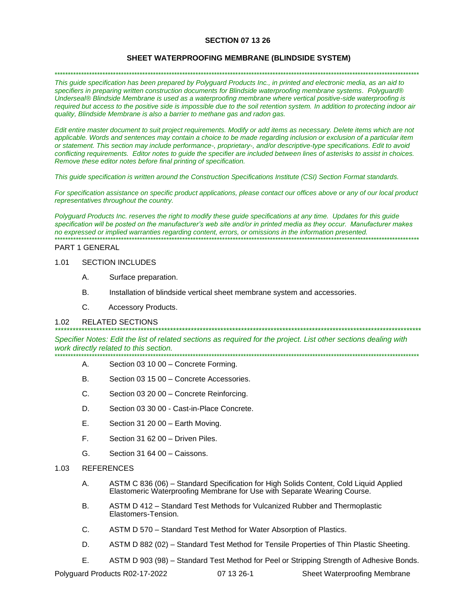## **SECTION 07 13 26**

#### **SHEET WATERPROOFING MEMBRANE (BLINDSIDE SYSTEM)**

\*\*\*\*\*\*\*\*\*\*\*\*\*\*\*\*\*\*\*\*\*\*\*\*\*\*\*\*\*\*\*\*\*\*\*\*\*\*\*\*\*\*\*\*\*\*\*\*\*\*\*\*\*\*\*\*\*\*\*\*\*\*\*\*\*\*\*\*\*\*\*\*\*\*\*\*\*\*\*\*\*\*\*\*\*\*\*\*\*\*\*\*\*\*\*\*\*\*\*\*\*\*\*\*\*\*\*\*\*\*\*\*\*\*\*\*\*\*\*\*\*\*\*\*\*\*\*\*\*\*\*\*\*\*\*\*\*

*This guide specification has been prepared by Polyguard Products Inc., in printed and electronic media, as an aid to specifiers in preparing written construction documents for Blindside waterproofing membrane systems. Polyguard® Underseal® Blindside Membrane is used as a waterproofing membrane where vertical positive-side waterproofing is required but access to the positive side is impossible due to the soil retention system. In addition to protecting indoor air quality, Blindside Membrane is also a barrier to methane gas and radon gas.* 

*Edit entire master document to suit project requirements. Modify or add items as necessary. Delete items which are not applicable. Words and sentences may contain a choice to be made regarding inclusion or exclusion of a particular item or statement. This section may include performance-, proprietary-, and/or descriptive-type specifications. Edit to avoid conflicting requirements. Editor notes to guide the specifier are included between lines of asterisks to assist in choices. Remove these editor notes before final printing of specification.*

*This guide specification is written around the Construction Specifications Institute (CSI) Section Format standards.* 

*For specification assistance on specific product applications, please contact our offices above or any of our local product representatives throughout the country.* 

*Polyguard Products Inc. reserves the right to modify these guide specifications at any time. Updates for this guide specification will be posted on the manufacturer's web site and/or in printed media as they occur. Manufacturer makes no expressed or implied warranties regarding content, errors, or omissions in the information presented.* \*\*\*\*\*\*\*\*\*\*\*\*\*\*\*\*\*\*\*\*\*\*\*\*\*\*\*\*\*\*\*\*\*\*\*\*\*\*\*\*\*\*\*\*\*\*\*\*\*\*\*\*\*\*\*\*\*\*\*\*\*\*\*\*\*\*\*\*\*\*\*\*\*\*\*\*\*\*\*\*\*\*\*\*\*\*\*\*\*\*\*\*\*\*\*\*\*\*\*\*\*\*\*\*\*\*\*\*\*\*\*\*\*\*\*\*\*\*\*\*\*\*\*\*\*\*\*\*\*\*\*\*\*\*\*\*\*

#### PART 1 GENERAL

#### 1.01 SECTION INCLUDES

- A. Surface preparation.
- B. Installation of blindside vertical sheet membrane system and accessories.
- C. Accessory Products.

#### 1.02 RELATED SECTIONS

*Specifier Notes: Edit the list of related sections as required for the project. List other sections dealing with work directly related to this section.* \*\*\*\*\*\*\*\*\*\*\*\*\*\*\*\*\*\*\*\*\*\*\*\*\*\*\*\*\*\*\*\*\*\*\*\*\*\*\*\*\*\*\*\*\*\*\*\*\*\*\*\*\*\*\*\*\*\*\*\*\*\*\*\*\*\*\*\*\*\*\*\*\*\*\*\*\*\*\*\*\*\*\*\*\*\*\*\*\*\*\*\*\*\*\*\*\*\*\*\*\*\*\*\*\*\*\*\*\*\*\*\*\*\*\*\*\*\*\*\*\*\*\*\*\*\*\*\*\*\*\*\*\*\*\*\*\*

*\*\*\*\*\*\*\*\*\*\*\*\*\*\*\*\*\*\*\*\*\*\*\*\*\*\*\*\*\*\*\*\*\*\*\*\*\*\*\*\*\*\*\*\*\*\*\*\*\*\*\*\*\*\*\*\*\*\*\*\*\*\*\*\*\*\*\*\*\*\*\*\*\*\*\*\*\*\*\*\*\*\*\*\*\*\*\*\*\*\*\*\*\*\*\*\*\*\*\*\*\*\*\*\*\*\*\*\*\*\*\*\*\*\*\*\*\*\*\*\*\*\*\*\**

- A. Section 03 10 00 Concrete Forming.
- B. Section 03 15 00 Concrete Accessories.
- C. Section 03 20 00 Concrete Reinforcing.
- D. Section 03 30 00 Cast-in-Place Concrete.
- E. Section 31 20 00 Earth Moving.
- F. Section 31 62 00 Driven Piles.
- G. Section 31 64 00 Caissons.

# 1.03 REFERENCES

- A. ASTM C 836 (06) Standard Specification for High Solids Content, Cold Liquid Applied Elastomeric Waterproofing Membrane for Use with Separate Wearing Course.
- B. ASTM D 412 Standard Test Methods for Vulcanized Rubber and Thermoplastic Elastomers-Tension.
- C. ASTM D 570 Standard Test Method for Water Absorption of Plastics.
- D. ASTM D 882 (02) Standard Test Method for Tensile Properties of Thin Plastic Sheeting.
- E. ASTM D 903 (98) Standard Test Method for Peel or Stripping Strength of Adhesive Bonds.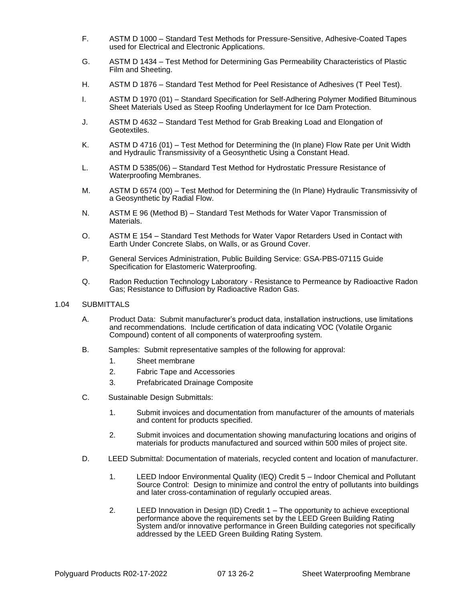- F. ASTM D 1000 Standard Test Methods for Pressure-Sensitive, Adhesive-Coated Tapes used for Electrical and Electronic Applications.
- G. ASTM D 1434 Test Method for Determining Gas Permeability Characteristics of Plastic Film and Sheeting.
- H. ASTM D 1876 Standard Test Method for Peel Resistance of Adhesives (T Peel Test).
- I. ASTM D 1970 (01) Standard Specification for Self-Adhering Polymer Modified Bituminous Sheet Materials Used as Steep Roofing Underlayment for Ice Dam Protection.
- J. ASTM D 4632 Standard Test Method for Grab Breaking Load and Elongation of Geotextiles.
- K. ASTM D 4716 (01) Test Method for Determining the (In plane) Flow Rate per Unit Width and Hydraulic Transmissivity of a Geosynthetic Using a Constant Head.
- L. ASTM D 5385(06) Standard Test Method for Hydrostatic Pressure Resistance of Waterproofing Membranes.
- M. ASTM D 6574 (00) Test Method for Determining the (In Plane) Hydraulic Transmissivity of a Geosynthetic by Radial Flow.
- N. ASTM E 96 (Method B) Standard Test Methods for Water Vapor Transmission of Materials.
- O. ASTM E 154 Standard Test Methods for Water Vapor Retarders Used in Contact with Earth Under Concrete Slabs, on Walls, or as Ground Cover.
- P. General Services Administration, Public Building Service: GSA-PBS-07115 Guide Specification for Elastomeric Waterproofing.
- Q. Radon Reduction Technology Laboratory Resistance to Permeance by Radioactive Radon Gas; Resistance to Diffusion by Radioactive Radon Gas.

#### 1.04 SUBMITTALS

- A. Product Data: Submit manufacturer's product data, installation instructions, use limitations and recommendations. Include certification of data indicating VOC (Volatile Organic Compound) content of all components of waterproofing system.
- B. Samples: Submit representative samples of the following for approval:
	- 1. Sheet membrane
	- 2. Fabric Tape and Accessories
	- 3. Prefabricated Drainage Composite
- C. Sustainable Design Submittals:
	- 1. Submit invoices and documentation from manufacturer of the amounts of materials and content for products specified.
	- 2. Submit invoices and documentation showing manufacturing locations and origins of materials for products manufactured and sourced within 500 miles of project site.
- D. LEED Submittal: Documentation of materials, recycled content and location of manufacturer.
	- 1. LEED Indoor Environmental Quality (IEQ) Credit 5 Indoor Chemical and Pollutant Source Control: Design to minimize and control the entry of pollutants into buildings and later cross-contamination of regularly occupied areas.
	- 2. LEED Innovation in Design (ID) Credit 1 The opportunity to achieve exceptional performance above the requirements set by the LEED Green Building Rating System and/or innovative performance in Green Building categories not specifically addressed by the LEED Green Building Rating System.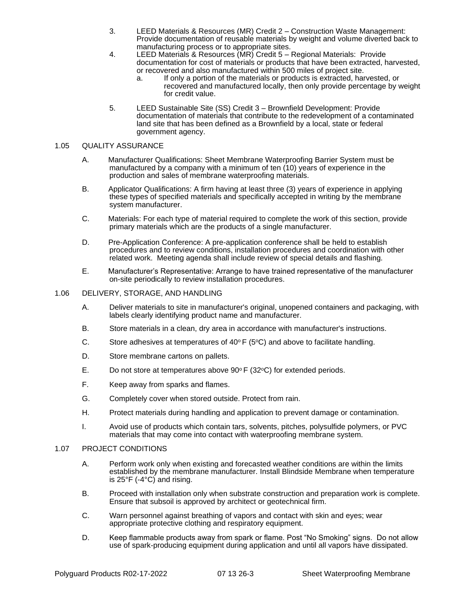- 3. LEED Materials & Resources (MR) Credit 2 Construction Waste Management: Provide documentation of reusable materials by weight and volume diverted back to manufacturing process or to appropriate sites.
- 4. LEED Materials & Resources (MR) Credit 5 Regional Materials: Provide documentation for cost of materials or products that have been extracted, harvested, or recovered and also manufactured within 500 miles of project site.
	- a. If only a portion of the materials or products is extracted, harvested, or recovered and manufactured locally, then only provide percentage by weight for credit value.
- 5. LEED Sustainable Site (SS) Credit 3 Brownfield Development: Provide documentation of materials that contribute to the redevelopment of a contaminated land site that has been defined as a Brownfield by a local, state or federal government agency.

# 1.05 QUALITY ASSURANCE

- A. Manufacturer Qualifications: Sheet Membrane Waterproofing Barrier System must be manufactured by a company with a minimum of ten (10) years of experience in the production and sales of membrane waterproofing materials.
- B. Applicator Qualifications: A firm having at least three (3) years of experience in applying these types of specified materials and specifically accepted in writing by the membrane system manufacturer.
- C. Materials: For each type of material required to complete the work of this section, provide primary materials which are the products of a single manufacturer.
- D. Pre-Application Conference: A pre-application conference shall be held to establish procedures and to review conditions, installation procedures and coordination with other related work. Meeting agenda shall include review of special details and flashing.
- E. Manufacturer's Representative: Arrange to have trained representative of the manufacturer on-site periodically to review installation procedures.

## 1.06 DELIVERY, STORAGE, AND HANDLING

- A. Deliver materials to site in manufacturer's original, unopened containers and packaging, with labels clearly identifying product name and manufacturer.
- B. Store materials in a clean, dry area in accordance with manufacturer's instructions.
- C. Store adhesives at temperatures of 40 $\degree$ F (5 $\degree$ C) and above to facilitate handling.
- D. Store membrane cartons on pallets.
- E. Do not store at temperatures above  $90^{\circ}$  F (32 $^{\circ}$ C) for extended periods.
- F. Keep away from sparks and flames.
- G. Completely cover when stored outside. Protect from rain.
- H. Protect materials during handling and application to prevent damage or contamination.
- I. Avoid use of products which contain tars, solvents, pitches, polysulfide polymers, or PVC materials that may come into contact with waterproofing membrane system.

#### 1.07 PROJECT CONDITIONS

- A. Perform work only when existing and forecasted weather conditions are within the limits established by the membrane manufacturer. Install Blindside Membrane when temperature is 25°F (-4°C) and rising.
- B. Proceed with installation only when substrate construction and preparation work is complete. Ensure that subsoil is approved by architect or geotechnical firm.
- C. Warn personnel against breathing of vapors and contact with skin and eyes; wear appropriate protective clothing and respiratory equipment.
- D. Keep flammable products away from spark or flame. Post "No Smoking" signs. Do not allow use of spark-producing equipment during application and until all vapors have dissipated.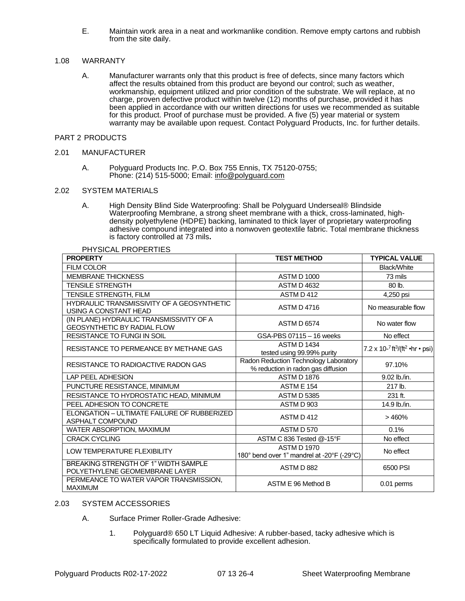E. Maintain work area in a neat and workmanlike condition. Remove empty cartons and rubbish from the site daily.

## 1.08 WARRANTY

A. Manufacturer warrants only that this product is free of defects, since many factors which affect the results obtained from this product are beyond our control; such as weather, workmanship, equipment utilized and prior condition of the substrate. We will replace, at no charge, proven defective product within twelve (12) months of purchase, provided it has been applied in accordance with our written directions for uses we recommended as suitable for this product. Proof of purchase must be provided. A five (5) year material or system warranty may be available upon request. Contact Polyguard Products, Inc. for further details.

### PART 2 PRODUCTS

#### 2.01 MANUFACTURER

A. Polyguard Products Inc. P.O. Box 755 Ennis, TX 75120-0755; Phone: (214) 515-5000; Email: [info@polyguard.com](mailto:info@polyguard.com)

#### 2.02 SYSTEM MATERIALS

A. High Density Blind Side Waterproofing: Shall be Polyguard Underseal® Blindside Waterproofing Membrane, a strong sheet membrane with a thick, cross-laminated, highdensity polyethylene (HDPE) backing, laminated to thick layer of proprietary waterproofing adhesive compound integrated into a nonwoven geotextile fabric. Total membrane thickness is factory controlled at 73 mils**.** 

PHYSICAL PROPERTIES

| <b>PROPERTY</b>                                                                | <b>TEST METHOD</b>                                                          | <b>TYPICAL VALUE</b>                                     |
|--------------------------------------------------------------------------------|-----------------------------------------------------------------------------|----------------------------------------------------------|
| <b>FILM COLOR</b>                                                              |                                                                             | <b>Black/White</b>                                       |
| <b>MEMBRANE THICKNESS</b>                                                      | <b>ASTM D 1000</b>                                                          | 73 mils                                                  |
| <b>TENSILE STRENGTH</b>                                                        | <b>ASTM D 4632</b>                                                          | 80 lb.                                                   |
| TENSILE STRENGTH, FILM                                                         | ASTM D412                                                                   | 4,250 psi                                                |
| HYDRAULIC TRANSMISSIVITY OF A GEOSYNTHETIC<br>USING A CONSTANT HEAD            | <b>ASTM D4716</b>                                                           | No measurable flow                                       |
| (IN PLANE) HYDRAULIC TRANSMISSIVITY OF A<br><b>GEOSYNTHETIC BY RADIAL FLOW</b> | <b>ASTM D 6574</b>                                                          | No water flow                                            |
| RESISTANCE TO FUNGI IN SOIL                                                    | GSA-PBS 07115 - 16 weeks                                                    | No effect                                                |
| RESISTANCE TO PERMEANCE BY METHANE GAS                                         | <b>ASTM D 1434</b><br>tested using 99.99% purity                            | 7.2 x 10-7 ft <sup>3</sup> /(ft <sup>2</sup> • hr • psi) |
| RESISTANCE TO RADIOACTIVE RADON GAS                                            | Radon Reduction Technology Laboratory<br>% reduction in radon gas diffusion | 97.10%                                                   |
| <b>LAP PEEL ADHESION</b>                                                       | <b>ASTM D 1876</b>                                                          | 9.02 lb./in.                                             |
| PUNCTURE RESISTANCE, MINIMUM                                                   | <b>ASTM E 154</b>                                                           | 217 lb.                                                  |
| RESISTANCE TO HYDROSTATIC HEAD, MINIMUM                                        | <b>ASTM D 5385</b>                                                          | 231 ft.                                                  |
| PEEL ADHESION TO CONCRETE                                                      | ASTM D 903                                                                  | 14.9 lb./in.                                             |
| ELONGATION - ULTIMATE FAILURE OF RUBBERIZED<br>ASPHALT COMPOUND                | ASTM D412                                                                   | >460%                                                    |
| WATER ABSORPTION, MAXIMUM                                                      | ASTM D 570                                                                  | 0.1%                                                     |
| <b>CRACK CYCLING</b>                                                           | ASTM C 836 Tested @-15°F                                                    | No effect                                                |
| <b>LOW TEMPERATURE FLEXIBILITY</b>                                             | <b>ASTM D 1970</b><br>180° bend over 1" mandrel at -20°F (-29°C)            | No effect                                                |
| BREAKING STRENGTH OF 1" WIDTH SAMPLE<br>POLYETHYLENE GEOMEMBRANE LAYER         | ASTM D 882                                                                  | 6500 PSI                                                 |
| PERMEANCE TO WATER VAPOR TRANSMISSION,<br><b>MAXIMUM</b>                       | ASTM E 96 Method B                                                          | 0.01 perms                                               |

#### 2.03 SYSTEM ACCESSORIES

- A. Surface Primer Roller-Grade Adhesive:
	- 1. Polyguard® 650 LT Liquid Adhesive: A rubber-based, tacky adhesive which is specifically formulated to provide excellent adhesion.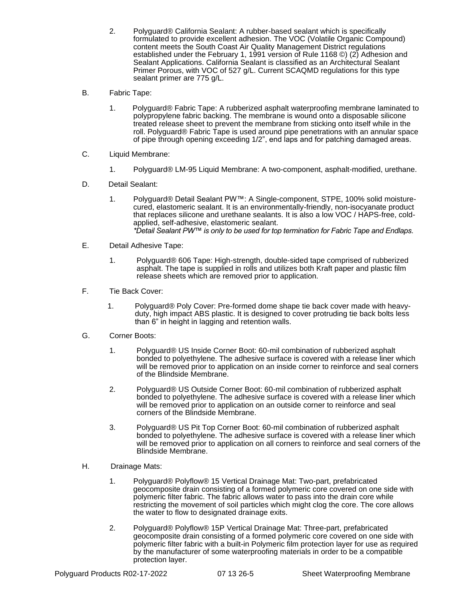- 2. Polyguard® California Sealant: A rubber-based sealant which is specifically formulated to provide excellent adhesion. The VOC (Volatile Organic Compound) content meets the South Coast Air Quality Management District regulations established under the February 1, 1991 version of Rule 1168 ©) (2) Adhesion and Sealant Applications. California Sealant is classified as an Architectural Sealant Primer Porous, with VOC of 527 g/L. Current SCAQMD regulations for this type sealant primer are 775 g/L.
- B. Fabric Tape:
	- 1. Polyguard® Fabric Tape: A rubberized asphalt waterproofing membrane laminated to polypropylene fabric backing. The membrane is wound onto a disposable silicone treated release sheet to prevent the membrane from sticking onto itself while in the roll. Polyguard® Fabric Tape is used around pipe penetrations with an annular space of pipe through opening exceeding 1/2", end laps and for patching damaged areas.
- C. Liquid Membrane:
	- 1. Polyguard® LM-95 Liquid Membrane: A two-component, asphalt-modified, urethane.
- D. Detail Sealant:
	- 1. Polyguard® Detail Sealant PW™: A Single-component, STPE, 100% solid moisturecured, elastomeric sealant. It is an environmentally-friendly, non-isocyanate product that replaces silicone and urethane sealants. It is also a low VOC / HAPS-free, coldapplied, self-adhesive, elastomeric sealant. *\*Detail Sealant PW™ is only to be used for top termination for Fabric Tape and Endlaps.*
- E. Detail Adhesive Tape:
	- 1. Polyguard® 606 Tape: High-strength, double-sided tape comprised of rubberized asphalt. The tape is supplied in rolls and utilizes both Kraft paper and plastic film release sheets which are removed prior to application.
- F. Tie Back Cover:
	- 1. Polyguard® Poly Cover: Pre-formed dome shape tie back cover made with heavyduty, high impact ABS plastic. It is designed to cover protruding tie back bolts less than 6" in height in lagging and retention walls.
- G. Corner Boots:
	- 1. Polyguard® US Inside Corner Boot: 60-mil combination of rubberized asphalt bonded to polyethylene. The adhesive surface is covered with a release liner which will be removed prior to application on an inside corner to reinforce and seal corners of the Blindside Membrane.
	- 2. Polyguard® US Outside Corner Boot: 60-mil combination of rubberized asphalt bonded to polyethylene. The adhesive surface is covered with a release liner which will be removed prior to application on an outside corner to reinforce and seal corners of the Blindside Membrane.
	- 3. Polyguard® US Pit Top Corner Boot: 60-mil combination of rubberized asphalt bonded to polyethylene. The adhesive surface is covered with a release liner which will be removed prior to application on all corners to reinforce and seal corners of the Blindside Membrane.
- H. Drainage Mats:
	- 1. Polyguard® Polyflow® 15 Vertical Drainage Mat: Two-part, prefabricated geocomposite drain consisting of a formed polymeric core covered on one side with polymeric filter fabric. The fabric allows water to pass into the drain core while restricting the movement of soil particles which might clog the core. The core allows the water to flow to designated drainage exits.
	- 2. Polyguard® Polyflow® 15P Vertical Drainage Mat: Three-part, prefabricated geocomposite drain consisting of a formed polymeric core covered on one side with polymeric filter fabric with a built-in Polymeric film protection layer for use as required by the manufacturer of some waterproofing materials in order to be a compatible protection layer.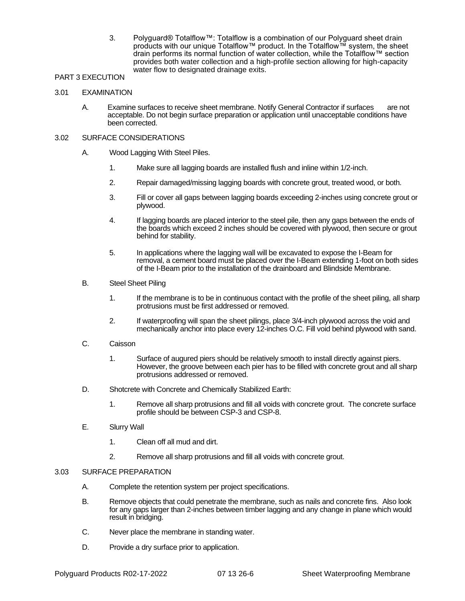3. Polyguard® Totalflow™: Totalflow is a combination of our Polyguard sheet drain products with our unique Totalflow™ product. In the Totalflow™ system, the sheet drain performs its normal function of water collection, while the Totalflow™ section provides both water collection and a high-profile section allowing for high-capacity water flow to designated drainage exits.

# PART 3 EXECUTION

## 3.01 EXAMINATION

A. Examine surfaces to receive sheet membrane. Notify General Contractor if surfaces are not acceptable. Do not begin surface preparation or application until unacceptable conditions have been corrected.

# 3.02 SURFACE CONSIDERATIONS

- A. Wood Lagging With Steel Piles.
	- 1. Make sure all lagging boards are installed flush and inline within 1/2-inch.
	- 2. Repair damaged/missing lagging boards with concrete grout, treated wood, or both.
	- 3. Fill or cover all gaps between lagging boards exceeding 2-inches using concrete grout or plywood.
	- 4. If lagging boards are placed interior to the steel pile, then any gaps between the ends of the boards which exceed 2 inches should be covered with plywood, then secure or grout behind for stability.
	- 5. In applications where the lagging wall will be excavated to expose the I-Beam for removal, a cement board must be placed over the I-Beam extending 1-foot on both sides of the I-Beam prior to the installation of the drainboard and Blindside Membrane.
- B. Steel Sheet Piling
	- 1. If the membrane is to be in continuous contact with the profile of the sheet piling, all sharp protrusions must be first addressed or removed.
	- 2. If waterproofing will span the sheet pilings, place 3/4-inch plywood across the void and mechanically anchor into place every 12-inches O.C. Fill void behind plywood with sand.
- C. Caisson
	- 1. Surface of augured piers should be relatively smooth to install directly against piers. However, the groove between each pier has to be filled with concrete grout and all sharp protrusions addressed or removed.
- D. Shotcrete with Concrete and Chemically Stabilized Earth:
	- 1. Remove all sharp protrusions and fill all voids with concrete grout. The concrete surface profile should be between CSP-3 and CSP-8.
- E. Slurry Wall
	- 1. Clean off all mud and dirt.
	- 2. Remove all sharp protrusions and fill all voids with concrete grout.

## 3.03 SURFACE PREPARATION

- A. Complete the retention system per project specifications.
- B. Remove objects that could penetrate the membrane, such as nails and concrete fins. Also look for any gaps larger than 2-inches between timber lagging and any change in plane which would result in bridging.
- C. Never place the membrane in standing water.
- D. Provide a dry surface prior to application.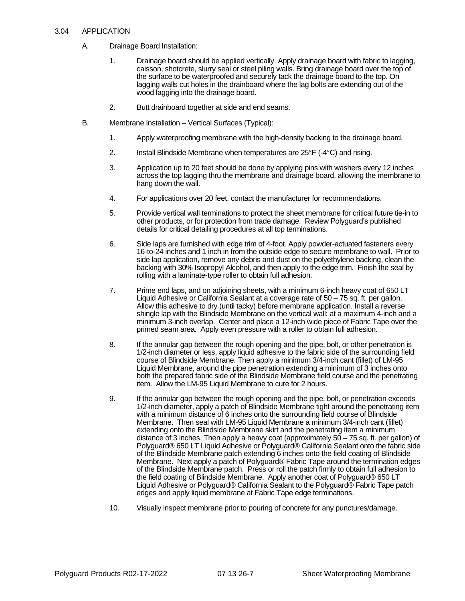### 3.04 APPLICATION

- A. Drainage Board Installation:
	- 1. Drainage board should be applied vertically. Apply drainage board with fabric to lagging, caisson, shotcrete, slurry seal or steel piling walls. Bring drainage board over the top of the surface to be waterproofed and securely tack the drainage board to the top. On lagging walls cut holes in the drainboard where the lag bolts are extending out of the wood lagging into the drainage board.
	- 2. Butt drainboard together at side and end seams.
- B. Membrane Installation Vertical Surfaces (Typical):
	- 1. Apply waterproofing membrane with the high-density backing to the drainage board.
	- 2. Install Blindside Membrane when temperatures are 25°F (-4°C) and rising.
	- 3. Application up to 20 feet should be done by applying pins with washers every 12 inches across the top lagging thru the membrane and drainage board, allowing the membrane to hang down the wall.
	- 4. For applications over 20 feet, contact the manufacturer for recommendations.
	- 5. Provide vertical wall terminations to protect the sheet membrane for critical future tie-in to other products, or for protection from trade damage. Review Polyguard's published details for critical detailing procedures at all top terminations.
	- 6. Side laps are furnished with edge trim of 4-foot. Apply powder-actuated fasteners every 16-to-24 inches and 1 inch in from the outside edge to secure membrane to wall. Prior to side lap application, remove any debris and dust on the polyethylene backing, clean the backing with 30% Isopropyl Alcohol, and then apply to the edge trim. Finish the seal by rolling with a laminate-type roller to obtain full adhesion.
	- 7. Prime end laps, and on adjoining sheets, with a minimum 6-inch heavy coat of 650 LT Liquid Adhesive or California Sealant at a coverage rate of 50 – 75 sq. ft. per gallon. Allow this adhesive to dry (until tacky) before membrane application. Install a reverse shingle lap with the Blindside Membrane on the vertical wall; at a maximum 4-inch and a minimum 3-inch overlap. Center and place a 12-inch wide piece of Fabric Tape over the primed seam area. Apply even pressure with a roller to obtain full adhesion.
	- 8. If the annular gap between the rough opening and the pipe, bolt, or other penetration is 1/2-inch diameter or less, apply liquid adhesive to the fabric side of the surrounding field course of Blindside Membrane. Then apply a minimum 3/4-inch cant (fillet) of LM-95 Liquid Membrane, around the pipe penetration extending a minimum of 3 inches onto both the prepared fabric side of the Blindside Membrane field course and the penetrating item. Allow the LM-95 Liquid Membrane to cure for 2 hours.
	- 9. If the annular gap between the rough opening and the pipe, bolt, or penetration exceeds 1/2-inch diameter, apply a patch of Blindside Membrane tight around the penetrating item with a minimum distance of 6 inches onto the surrounding field course of Blindside Membrane. Then seal with LM-95 Liquid Membrane a minimum 3/4-inch cant (fillet) extending onto the Blindside Membrane skirt and the penetrating item a minimum distance of 3 inches. Then apply a heavy coat (approximately  $50 - 75$  sq. ft. per gallon) of Polyguard® 650 LT Liquid Adhesive or Polyguard® California Sealant onto the fabric side of the Blindside Membrane patch extending 6 inches onto the field coating of Blindside Membrane. Next apply a patch of Polyguard® Fabric Tape around the termination edges of the Blindside Membrane patch. Press or roll the patch firmly to obtain full adhesion to the field coating of Blindside Membrane. Apply another coat of Polyguard® 650 LT Liquid Adhesive or Polyguard® California Sealant to the Polyguard® Fabric Tape patch edges and apply liquid membrane at Fabric Tape edge terminations.
	- 10. Visually inspect membrane prior to pouring of concrete for any punctures/damage.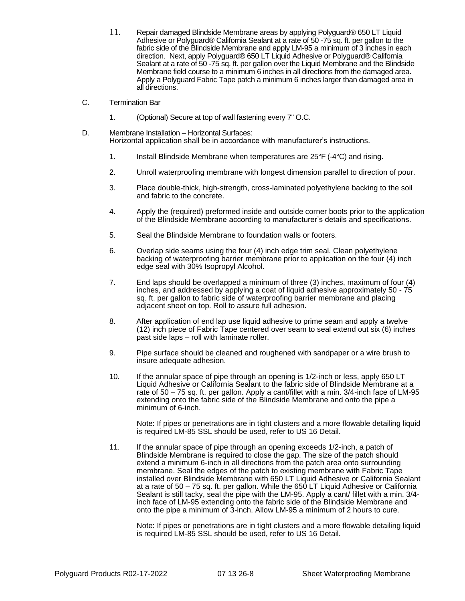- 11. Repair damaged Blindside Membrane areas by applying Polyguard® 650 LT Liquid Adhesive or Polyguard® California Sealant at a rate of 50 -75 sq. ft. per gallon to the fabric side of the Blindside Membrane and apply LM-95 a minimum of 3 inches in each direction. Next, apply Polyguard® 650 LT Liquid Adhesive or Polyguard® California Sealant at a rate of 50 -75 sq. ft. per gallon over the Liquid Membrane and the Blindside Membrane field course to a minimum 6 inches in all directions from the damaged area. Apply a Polyguard Fabric Tape patch a minimum 6 inches larger than damaged area in all directions.
- C. Termination Bar
	- 1. (Optional) Secure at top of wall fastening every 7" O.C.
- D. Membrane Installation Horizontal Surfaces: Horizontal application shall be in accordance with manufacturer's instructions.
	- 1. Install Blindside Membrane when temperatures are 25°F (-4°C) and rising.
	- 2. Unroll waterproofing membrane with longest dimension parallel to direction of pour.
	- 3. Place double-thick, high-strength, cross-laminated polyethylene backing to the soil and fabric to the concrete.
	- 4. Apply the (required) preformed inside and outside corner boots prior to the application of the Blindside Membrane according to manufacturer's details and specifications.
	- 5. Seal the Blindside Membrane to foundation walls or footers.
	- 6. Overlap side seams using the four (4) inch edge trim seal. Clean polyethylene backing of waterproofing barrier membrane prior to application on the four (4) inch edge seal with 30% Isopropyl Alcohol.
	- 7. End laps should be overlapped a minimum of three (3) inches, maximum of four (4) inches, and addressed by applying a coat of liquid adhesive approximately 50 - 75 sq. ft. per gallon to fabric side of waterproofing barrier membrane and placing adjacent sheet on top. Roll to assure full adhesion.
	- 8. After application of end lap use liquid adhesive to prime seam and apply a twelve (12) inch piece of Fabric Tape centered over seam to seal extend out six (6) inches past side laps – roll with laminate roller.
	- 9. Pipe surface should be cleaned and roughened with sandpaper or a wire brush to insure adequate adhesion.
	- 10. If the annular space of pipe through an opening is 1/2-inch or less, apply 650 LT Liquid Adhesive or California Sealant to the fabric side of Blindside Membrane at a rate of 50 – 75 sq. ft. per gallon. Apply a cant/fillet with a min. 3/4-inch face of LM-95 extending onto the fabric side of the Blindside Membrane and onto the pipe a minimum of 6-inch.

Note: If pipes or penetrations are in tight clusters and a more flowable detailing liquid is required LM-85 SSL should be used, refer to US 16 Detail.

11. If the annular space of pipe through an opening exceeds 1/2-inch, a patch of Blindside Membrane is required to close the gap. The size of the patch should extend a minimum 6-inch in all directions from the patch area onto surrounding membrane. Seal the edges of the patch to existing membrane with Fabric Tape installed over Blindside Membrane with 650 LT Liquid Adhesive or California Sealant at a rate of 50 – 75 sq. ft. per gallon. While the 650 LT Liquid Adhesive or California Sealant is still tacky, seal the pipe with the LM-95. Apply a cant/ fillet with a min. 3/4 inch face of LM-95 extending onto the fabric side of the Blindside Membrane and onto the pipe a minimum of 3-inch. Allow LM-95 a minimum of 2 hours to cure.

Note: If pipes or penetrations are in tight clusters and a more flowable detailing liquid is required LM-85 SSL should be used, refer to US 16 Detail.